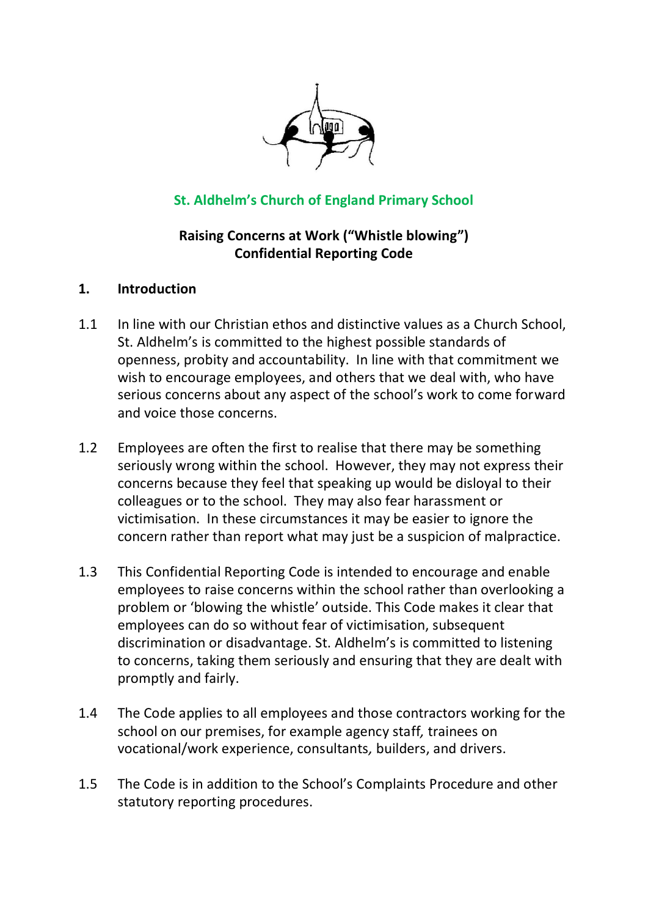

# **St. Aldhelm's Church of England Primary School**

### **Raising Concerns at Work ("Whistle blowing") Confidential Reporting Code**

#### **1. Introduction**

- 1.1 In line with our Christian ethos and distinctive values as a Church School, St. Aldhelm's is committed to the highest possible standards of openness, probity and accountability. In line with that commitment we wish to encourage employees, and others that we deal with, who have serious concerns about any aspect of the school's work to come forward and voice those concerns.
- 1.2 Employees are often the first to realise that there may be something seriously wrong within the school. However, they may not express their concerns because they feel that speaking up would be disloyal to their colleagues or to the school. They may also fear harassment or victimisation. In these circumstances it may be easier to ignore the concern rather than report what may just be a suspicion of malpractice.
- 1.3 This Confidential Reporting Code is intended to encourage and enable employees to raise concerns within the school rather than overlooking a problem or 'blowing the whistle' outside. This Code makes it clear that employees can do so without fear of victimisation, subsequent discrimination or disadvantage. St. Aldhelm's is committed to listening to concerns, taking them seriously and ensuring that they are dealt with promptly and fairly.
- 1.4 The Code applies to all employees and those contractors working for the school on our premises, for example agency staff*,* trainees on vocational/work experience, consultants*,* builders, and drivers.
- 1.5 The Code is in addition to the School's Complaints Procedure and other statutory reporting procedures.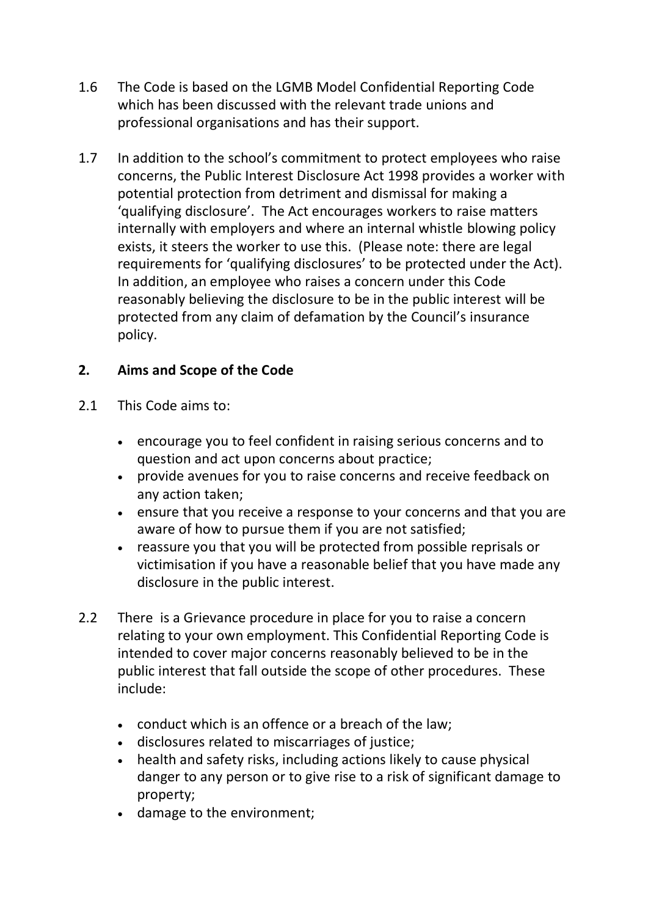- 1.6 The Code is based on the LGMB Model Confidential Reporting Code which has been discussed with the relevant trade unions and professional organisations and has their support.
- 1.7 In addition to the school's commitment to protect employees who raise concerns, the Public Interest Disclosure Act 1998 provides a worker with potential protection from detriment and dismissal for making a 'qualifying disclosure'. The Act encourages workers to raise matters internally with employers and where an internal whistle blowing policy exists, it steers the worker to use this. (Please note: there are legal requirements for 'qualifying disclosures' to be protected under the Act). In addition, an employee who raises a concern under this Code reasonably believing the disclosure to be in the public interest will be protected from any claim of defamation by the Council's insurance policy.

## **2. Aims and Scope of the Code**

- 2.1 This Code aims to:
	- encourage you to feel confident in raising serious concerns and to question and act upon concerns about practice;
	- provide avenues for you to raise concerns and receive feedback on any action taken;
	- ensure that you receive a response to your concerns and that you are aware of how to pursue them if you are not satisfied;
	- reassure you that you will be protected from possible reprisals or victimisation if you have a reasonable belief that you have made any disclosure in the public interest.
- 2.2 There is a Grievance procedure in place for you to raise a concern relating to your own employment. This Confidential Reporting Code is intended to cover major concerns reasonably believed to be in the public interest that fall outside the scope of other procedures. These include:
	- conduct which is an offence or a breach of the law;
	- disclosures related to miscarriages of justice;
	- health and safety risks, including actions likely to cause physical danger to any person or to give rise to a risk of significant damage to property;
	- damage to the environment;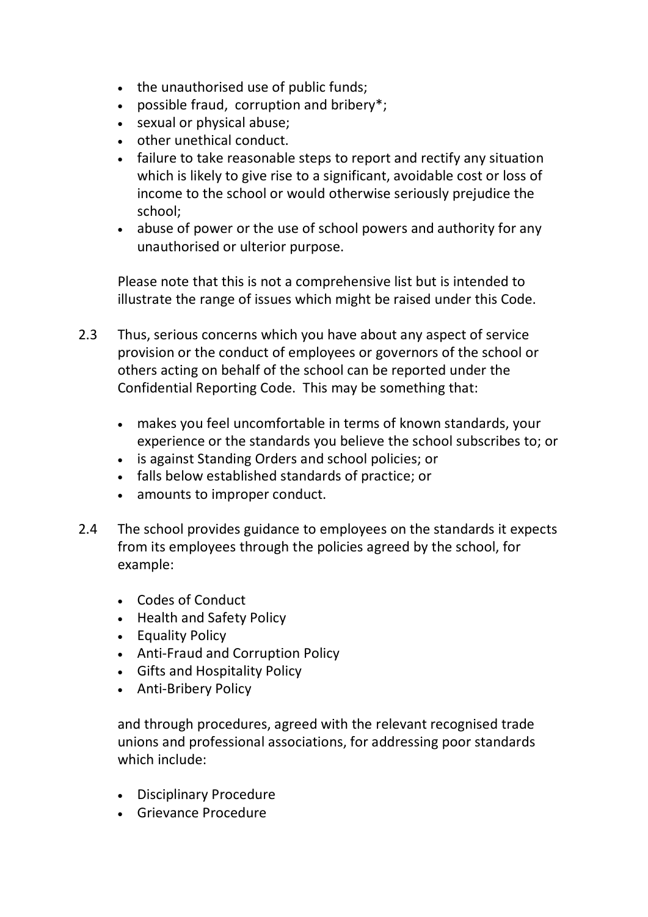- the unauthorised use of public funds;
- possible fraud, corruption and bribery\*;
- sexual or physical abuse;
- other unethical conduct.
- failure to take reasonable steps to report and rectify any situation which is likely to give rise to a significant, avoidable cost or loss of income to the school or would otherwise seriously prejudice the school;
- abuse of power or the use of school powers and authority for any unauthorised or ulterior purpose.

Please note that this is not a comprehensive list but is intended to illustrate the range of issues which might be raised under this Code.

- 2.3 Thus, serious concerns which you have about any aspect of service provision or the conduct of employees or governors of the school or others acting on behalf of the school can be reported under the Confidential Reporting Code. This may be something that:
	- makes you feel uncomfortable in terms of known standards, your experience or the standards you believe the school subscribes to; or
	- is against Standing Orders and school policies; or
	- falls below established standards of practice; or
	- amounts to improper conduct.
- 2.4 The school provides guidance to employees on the standards it expects from its employees through the policies agreed by the school, for example:
	- Codes of Conduct
	- Health and Safety Policy
	- Equality Policy
	- Anti-Fraud and Corruption Policy
	- Gifts and Hospitality Policy
	- Anti-Bribery Policy

and through procedures, agreed with the relevant recognised trade unions and professional associations, for addressing poor standards which include:

- Disciplinary Procedure
- Grievance Procedure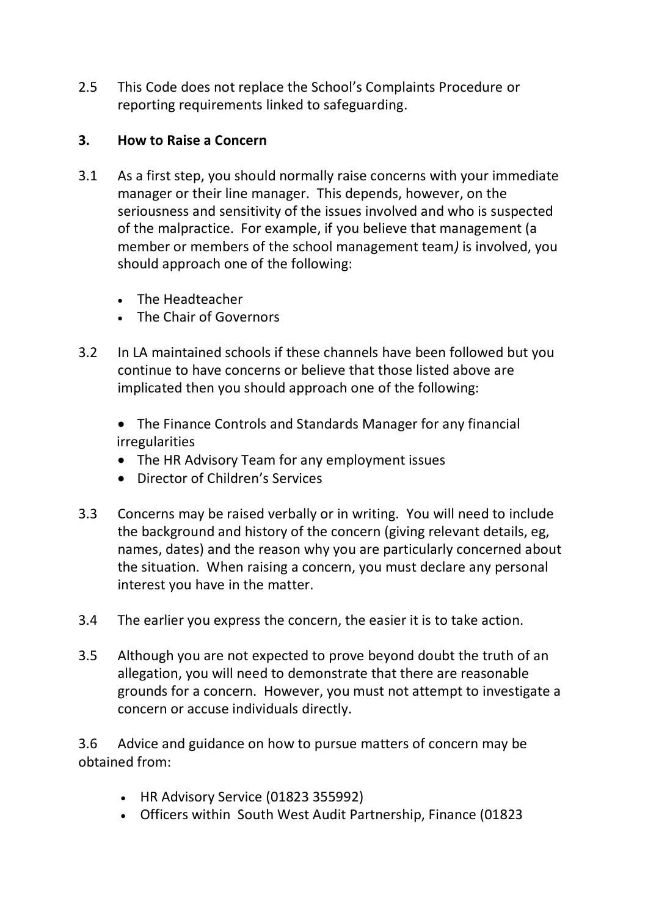2.5 This Code does not replace the School's Complaints Procedure or reporting requirements linked to safeguarding.

### **3. How to Raise a Concern**

- 3.1 As a first step, you should normally raise concerns with your immediate manager or their line manager. This depends, however, on the seriousness and sensitivity of the issues involved and who is suspected of the malpractice. For example, if you believe that management (a member or members of the school management team*)* is involved, you should approach one of the following:
	- The Headteacher
	- The Chair of Governors
- 3.2 In LA maintained schools if these channels have been followed but you continue to have concerns or believe that those listed above are implicated then you should approach one of the following:
	- The Finance Controls and Standards Manager for any financial irregularities
	- The HR Advisory Team for any employment issues
	- Director of Children's Services
- 3.3 Concerns may be raised verbally or in writing. You will need to include the background and history of the concern (giving relevant details, eg, names, dates) and the reason why you are particularly concerned about the situation. When raising a concern, you must declare any personal interest you have in the matter.
- 3.4 The earlier you express the concern, the easier it is to take action.
- 3.5 Although you are not expected to prove beyond doubt the truth of an allegation, you will need to demonstrate that there are reasonable grounds for a concern. However, you must not attempt to investigate a concern or accuse individuals directly.

3.6 Advice and guidance on how to pursue matters of concern may be obtained from:

- HR Advisory Service (01823 355992)
- Officers within South West Audit Partnership, Finance (01823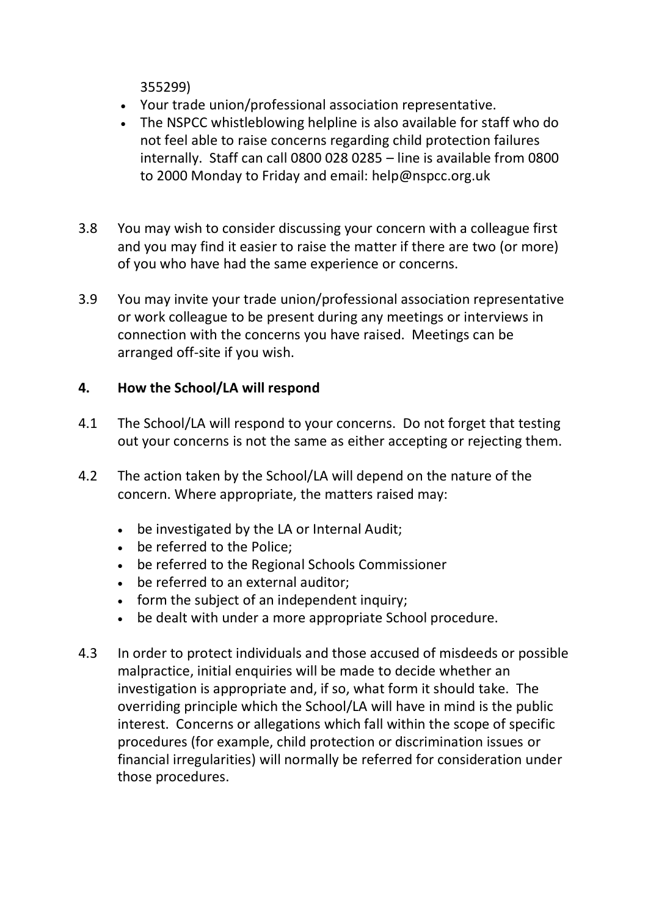355299)

- Your trade union/professional association representative.
- The NSPCC whistleblowing helpline is also available for staff who do not feel able to raise concerns regarding child protection failures internally. Staff can call 0800 028 0285 – line is available from 0800 to 2000 Monday to Friday and email: help@nspcc.org.uk
- 3.8 You may wish to consider discussing your concern with a colleague first and you may find it easier to raise the matter if there are two (or more) of you who have had the same experience or concerns.
- 3.9 You may invite your trade union/professional association representative or work colleague to be present during any meetings or interviews in connection with the concerns you have raised. Meetings can be arranged off-site if you wish.

## **4. How the School/LA will respond**

- 4.1 The School/LA will respond to your concerns. Do not forget that testing out your concerns is not the same as either accepting or rejecting them.
- 4.2 The action taken by the School/LA will depend on the nature of the concern. Where appropriate, the matters raised may:
	- be investigated by the LA or Internal Audit;
	- be referred to the Police;
	- be referred to the Regional Schools Commissioner
	- be referred to an external auditor;
	- form the subject of an independent inquiry;
	- be dealt with under a more appropriate School procedure.
- 4.3 In order to protect individuals and those accused of misdeeds or possible malpractice, initial enquiries will be made to decide whether an investigation is appropriate and, if so, what form it should take. The overriding principle which the School/LA will have in mind is the public interest. Concerns or allegations which fall within the scope of specific procedures (for example, child protection or discrimination issues or financial irregularities) will normally be referred for consideration under those procedures.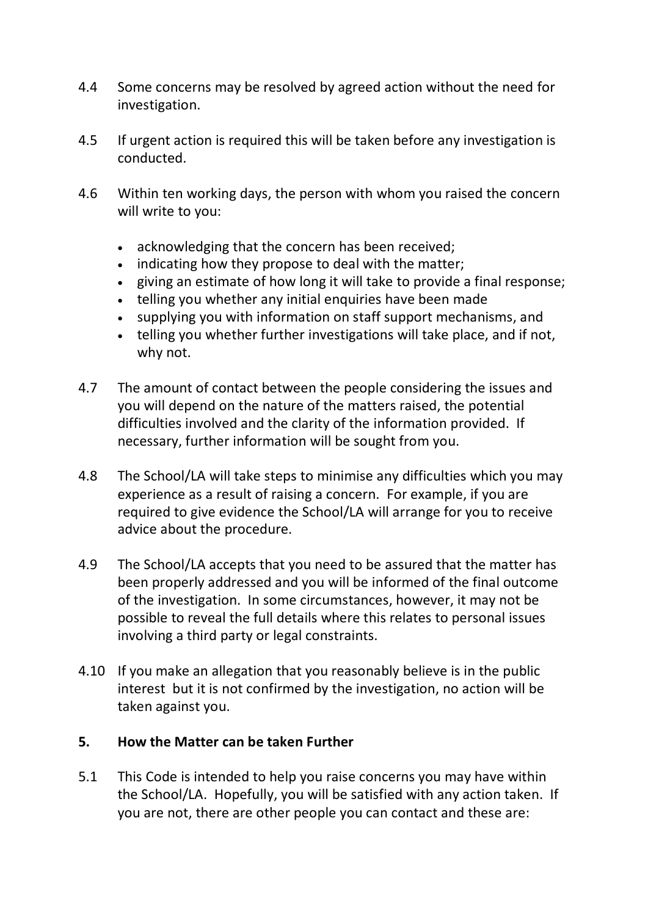- 4.4 Some concerns may be resolved by agreed action without the need for investigation.
- 4.5 If urgent action is required this will be taken before any investigation is conducted.
- 4.6 Within ten working days, the person with whom you raised the concern will write to you:
	- acknowledging that the concern has been received;
	- indicating how they propose to deal with the matter;
	- giving an estimate of how long it will take to provide a final response;
	- telling you whether any initial enquiries have been made
	- supplying you with information on staff support mechanisms, and
	- telling you whether further investigations will take place, and if not, why not.
- 4.7 The amount of contact between the people considering the issues and you will depend on the nature of the matters raised, the potential difficulties involved and the clarity of the information provided. If necessary, further information will be sought from you.
- 4.8 The School/LA will take steps to minimise any difficulties which you may experience as a result of raising a concern. For example, if you are required to give evidence the School/LA will arrange for you to receive advice about the procedure.
- 4.9 The School/LA accepts that you need to be assured that the matter has been properly addressed and you will be informed of the final outcome of the investigation. In some circumstances, however, it may not be possible to reveal the full details where this relates to personal issues involving a third party or legal constraints.
- 4.10 If you make an allegation that you reasonably believe is in the public interest but it is not confirmed by the investigation, no action will be taken against you.

#### **5. How the Matter can be taken Further**

5.1 This Code is intended to help you raise concerns you may have within the School/LA. Hopefully, you will be satisfied with any action taken. If you are not, there are other people you can contact and these are: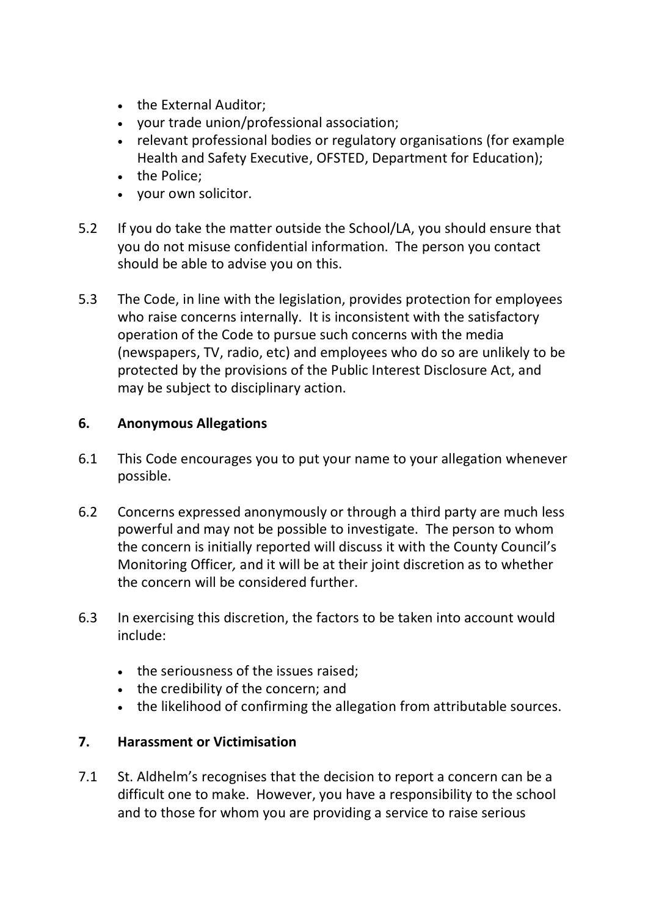- the External Auditor:
- your trade union/professional association;
- relevant professional bodies or regulatory organisations (for example Health and Safety Executive, OFSTED, Department for Education);
- the Police;
- your own solicitor.
- 5.2 If you do take the matter outside the School/LA, you should ensure that you do not misuse confidential information. The person you contact should be able to advise you on this.
- 5.3 The Code, in line with the legislation, provides protection for employees who raise concerns internally. It is inconsistent with the satisfactory operation of the Code to pursue such concerns with the media (newspapers, TV, radio, etc) and employees who do so are unlikely to be protected by the provisions of the Public Interest Disclosure Act, and may be subject to disciplinary action.

### **6. Anonymous Allegations**

- 6.1 This Code encourages you to put your name to your allegation whenever possible.
- 6.2 Concerns expressed anonymously or through a third party are much less powerful and may not be possible to investigate. The person to whom the concern is initially reported will discuss it with the County Council's Monitoring Officer*,* and it will be at their joint discretion as to whether the concern will be considered further.
- 6.3 In exercising this discretion, the factors to be taken into account would include:
	- the seriousness of the issues raised;
	- the credibility of the concern; and
	- the likelihood of confirming the allegation from attributable sources.

### **7. Harassment or Victimisation**

7.1 St. Aldhelm's recognises that the decision to report a concern can be a difficult one to make. However, you have a responsibility to the school and to those for whom you are providing a service to raise serious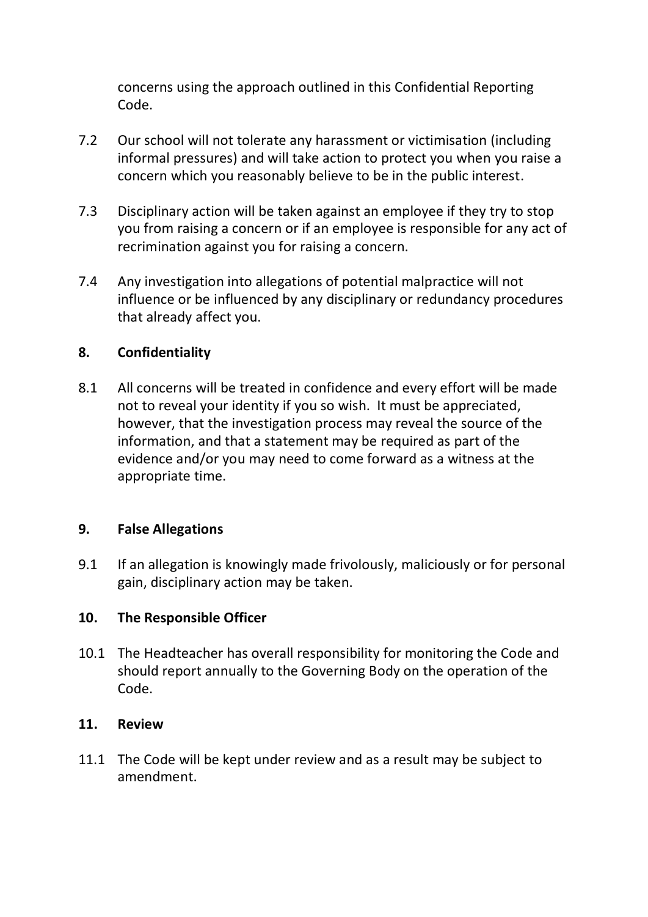concerns using the approach outlined in this Confidential Reporting Code.

- 7.2 Our school will not tolerate any harassment or victimisation (including informal pressures) and will take action to protect you when you raise a concern which you reasonably believe to be in the public interest.
- 7.3 Disciplinary action will be taken against an employee if they try to stop you from raising a concern or if an employee is responsible for any act of recrimination against you for raising a concern.
- 7.4 Any investigation into allegations of potential malpractice will not influence or be influenced by any disciplinary or redundancy procedures that already affect you.

### **8. Confidentiality**

8.1 All concerns will be treated in confidence and every effort will be made not to reveal your identity if you so wish. It must be appreciated, however, that the investigation process may reveal the source of the information, and that a statement may be required as part of the evidence and/or you may need to come forward as a witness at the appropriate time.

### **9. False Allegations**

9.1 If an allegation is knowingly made frivolously, maliciously or for personal gain, disciplinary action may be taken.

### **10. The Responsible Officer**

10.1 The Headteacher has overall responsibility for monitoring the Code and should report annually to the Governing Body on the operation of the Code.

### **11. Review**

11.1 The Code will be kept under review and as a result may be subject to amendment.